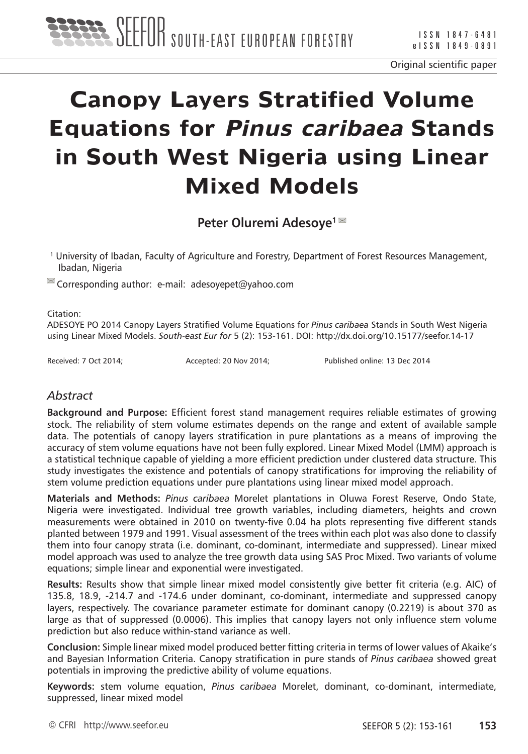

# **Canopy Layers Stratified Volume Equations for Pinus caribaea Stands in South West Nigeria using Linear Mixed Models**

**Peter Oluremi Adesoye1** 

1 University of Ibadan, Faculty of Agriculture and Forestry, Department of Forest Resources Management, Ibadan, Nigeria

 $\blacksquare$  Corresponding author: e-mail: adesoyepet@yahoo.com

#### Citation:

ADESOYE PO 2014 Canopy Layers Stratified Volume Equations for *Pinus caribaea* Stands in South West Nigeria using Linear Mixed Models. *South-east Eur for* 5 (2): 153-161. DOI: http://dx.doi.org/10.15177/seefor.14-17

Received: 7 Oct 2014; <br>
Accepted: 20 Nov 2014; Published online: 13 Dec 2014

## *Abstract*

**Background and Purpose:** Efficient forest stand management requires reliable estimates of growing stock. The reliability of stem volume estimates depends on the range and extent of available sample data. The potentials of canopy layers stratification in pure plantations as a means of improving the accuracy of stem volume equations have not been fully explored. Linear Mixed Model (LMM) approach is a statistical technique capable of yielding a more efficient prediction under clustered data structure. This study investigates the existence and potentials of canopy stratifications for improving the reliability of stem volume prediction equations under pure plantations using linear mixed model approach.

**Materials and Methods:** *Pinus caribaea* Morelet plantations in Oluwa Forest Reserve, Ondo State, Nigeria were investigated. Individual tree growth variables, including diameters, heights and crown measurements were obtained in 2010 on twenty-five 0.04 ha plots representing five different stands planted between 1979 and 1991. Visual assessment of the trees within each plot was also done to classify them into four canopy strata (i.e. dominant, co-dominant, intermediate and suppressed). Linear mixed model approach was used to analyze the tree growth data using SAS Proc Mixed. Two variants of volume equations; simple linear and exponential were investigated.

**Results:** Results show that simple linear mixed model consistently give better fit criteria (e.g. AIC) of 135.8, 18.9, -214.7 and -174.6 under dominant, co-dominant, intermediate and suppressed canopy layers, respectively. The covariance parameter estimate for dominant canopy (0.2219) is about 370 as large as that of suppressed (0.0006). This implies that canopy layers not only influence stem volume prediction but also reduce within-stand variance as well.

**Conclusion:** Simple linear mixed model produced better fitting criteria in terms of lower values of Akaike's and Bayesian Information Criteria. Canopy stratification in pure stands of *Pinus caribaea* showed great potentials in improving the predictive ability of volume equations.

**Keywords:** stem volume equation, *Pinus caribaea* Morelet, dominant, co-dominant, intermediate, suppressed, linear mixed model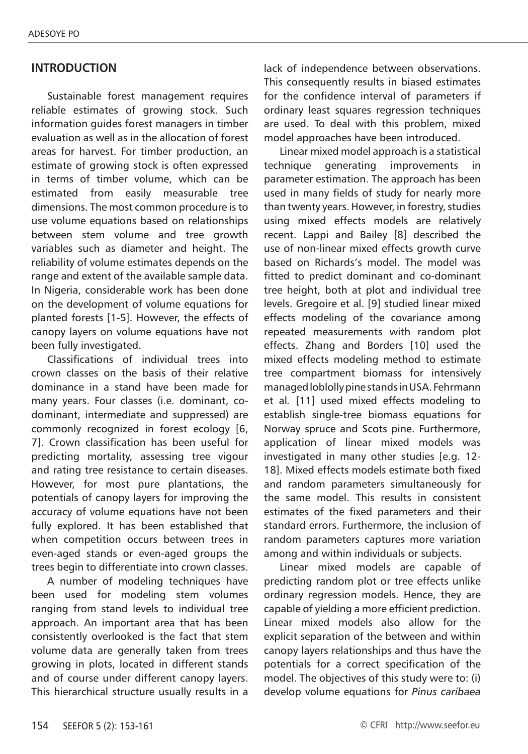## **INTRODUCTION**

Sustainable forest management requires reliable estimates of growing stock. Such information guides forest managers in timber evaluation as well as in the allocation of forest areas for harvest. For timber production, an estimate of growing stock is often expressed in terms of timber volume, which can be estimated from easily measurable tree dimensions. The most common procedure is to use volume equations based on relationships between stem volume and tree growth variables such as diameter and height. The reliability of volume estimates depends on the range and extent of the available sample data. In Nigeria, considerable work has been done on the development of volume equations for planted forests [1-5]. However, the effects of canopy layers on volume equations have not been fully investigated.

Classifications of individual trees into crown classes on the basis of their relative dominance in a stand have been made for many years. Four classes (i.e. dominant, codominant, intermediate and suppressed) are commonly recognized in forest ecology [6, 7]. Crown classification has been useful for predicting mortality, assessing tree vigour and rating tree resistance to certain diseases. However, for most pure plantations, the potentials of canopy layers for improving the accuracy of volume equations have not been fully explored. It has been established that when competition occurs between trees in even-aged stands or even-aged groups the trees begin to differentiate into crown classes.

A number of modeling techniques have been used for modeling stem volumes ranging from stand levels to individual tree approach. An important area that has been consistently overlooked is the fact that stem volume data are generally taken from trees growing in plots, located in different stands and of course under different canopy layers. This hierarchical structure usually results in a lack of independence between observations. This consequently results in biased estimates for the confidence interval of parameters if ordinary least squares regression techniques are used. To deal with this problem, mixed model approaches have been introduced.

Linear mixed model approach is a statistical technique generating improvements in parameter estimation. The approach has been used in many fields of study for nearly more than twenty years. However, in forestry, studies using mixed effects models are relatively recent. Lappi and Bailey [8] described the use of non-linear mixed effects growth curve based on Richards's model. The model was fitted to predict dominant and co-dominant tree height, both at plot and individual tree levels. Gregoire et al. [9] studied linear mixed effects modeling of the covariance among repeated measurements with random plot effects. Zhang and Borders [10] used the mixed effects modeling method to estimate tree compartment biomass for intensively managed loblolly pine stands in USA. Fehrmann et al*.* [11] used mixed effects modeling to establish single-tree biomass equations for Norway spruce and Scots pine. Furthermore, application of linear mixed models was investigated in many other studies [e.g. 12- 18]. Mixed effects models estimate both fixed and random parameters simultaneously for the same model. This results in consistent estimates of the fixed parameters and their standard errors. Furthermore, the inclusion of random parameters captures more variation among and within individuals or subjects.

Linear mixed models are capable of predicting random plot or tree effects unlike ordinary regression models. Hence, they are capable of yielding a more efficient prediction. Linear mixed models also allow for the explicit separation of the between and within canopy layers relationships and thus have the potentials for a correct specification of the model. The objectives of this study were to: (i) develop volume equations for *Pinus caribaea*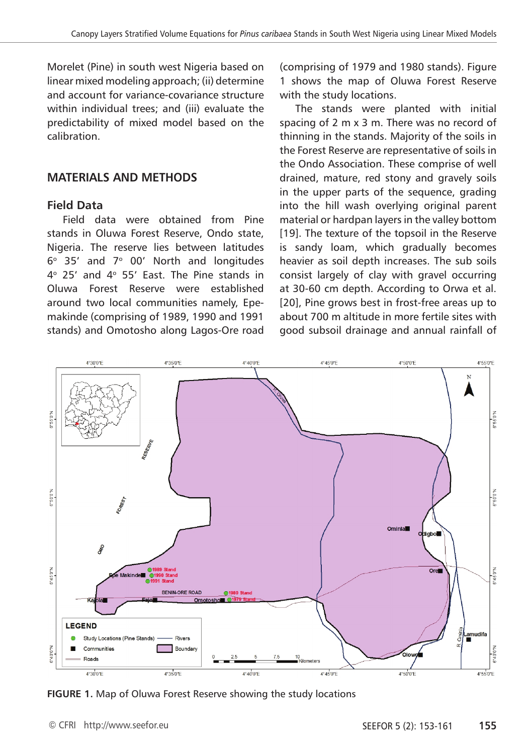Morelet (Pine) in south west Nigeria based on linear mixed modeling approach; (ii) determine and account for variance-covariance structure within individual trees; and (iii) evaluate the predictability of mixed model based on the calibration.

## **MATERIALS AND METHODS**

#### **Field Data**

Field data were obtained from Pine stands in Oluwa Forest Reserve, Ondo state, Nigeria. The reserve lies between latitudes  $6^{\circ}$  35' and  $7^{\circ}$  00' North and longitudes  $4^{\circ}$  25' and  $4^{\circ}$  55' East. The Pine stands in Oluwa Forest Reserve were established around two local communities namely, Epemakinde (comprising of 1989, 1990 and 1991 stands) and Omotosho along Lagos-Ore road (comprising of 1979 and 1980 stands). Figure 1 shows the map of Oluwa Forest Reserve with the study locations.

The stands were planted with initial spacing of 2 m x 3 m. There was no record of thinning in the stands. Majority of the soils in the Forest Reserve are representative of soils in the Ondo Association. These comprise of well drained, mature, red stony and gravely soils in the upper parts of the sequence, grading into the hill wash overlying original parent material or hardpan layers in the valley bottom [19]. The texture of the topsoil in the Reserve is sandy loam, which gradually becomes heavier as soil depth increases. The sub soils consist largely of clay with gravel occurring at 30-60 cm depth. According to Orwa et al. [20], Pine grows best in frost-free areas up to about 700 m altitude in more fertile sites with good subsoil drainage and annual rainfall of



**FIGURE 1.** Map of Oluwa Forest Reserve showing the study locations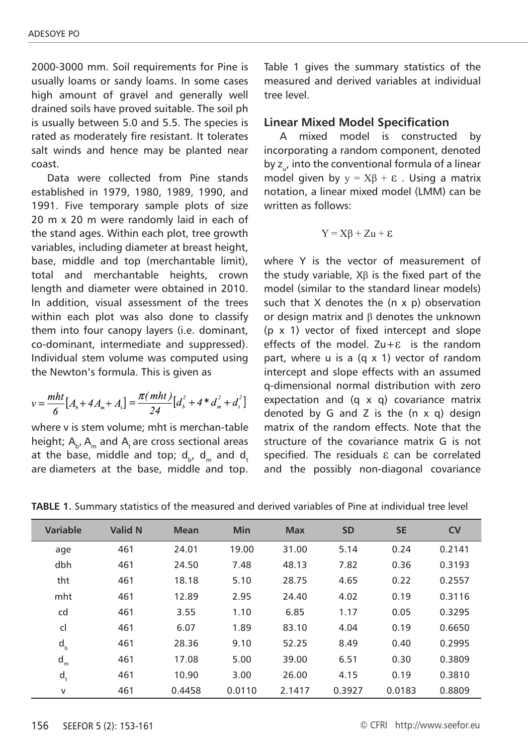2000-3000 mm. Soil requirements for Pine is usually loams or sandy loams. In some cases high amount of gravel and generally well drained soils have proved suitable. The soil ph is usually between 5.0 and 5.5. The species is rated as moderately fire resistant. It tolerates salt winds and hence may be planted near coast.

Data were collected from Pine stands established in 1979, 1980, 1989, 1990, and 1991. Five temporary sample plots of size 20 m x 20 m were randomly laid in each of the stand ages. Within each plot, tree growth variables, including diameter at breast height, base, middle and top (merchantable limit), total and merchantable heights, crown length and diameter were obtained in 2010. In addition, visual assessment of the trees within each plot was also done to classify them into four canopy layers (i.e. dominant, co-dominant, intermediate and suppressed). Individual stem volume was computed using the Newton's formula. This is given as

$$
v = \frac{mht}{6} [A_b + 4A_m + A_t] = \frac{\pi (mht)}{24} [d_b^2 + 4 * d_m^2 + d_t^2]
$$

where v is stem volume; mht is merchan-table height;  $A_{b}$ ,  $A_{m}$  and  $A_{t}$  are cross sectional areas at the base, middle and top;  $d_{b}$ ,  $d_{m}$  and  $d_{t}$ are diameters at the base, middle and top.

Table 1 gives the summary statistics of the measured and derived variables at individual tree level.

#### **Linear Mixed Model Specification**

A mixed model is constructed by incorporating a random component, denoted by  $z_{\mu}$ , into the conventional formula of a linear model given by  $y = X\beta + \varepsilon$ . Using a matrix notation, a linear mixed model (LMM) can be written as follows:

$$
Y = X\beta + Zu + \epsilon
$$

where Y is the vector of measurement of the study variable,  $X\beta$  is the fixed part of the model (similar to the standard linear models) such that  $X$  denotes the  $(n \times p)$  observation or design matrix and β denotes the unknown (p x 1) vector of fixed intercept and slope effects of the model.  $Zu+E$  is the random part, where u is a (q x 1) vector of random intercept and slope effects with an assumed q-dimensional normal distribution with zero expectation and (q x q) covariance matrix denoted by G and Z is the  $(n \times q)$  design matrix of the random effects. Note that the structure of the covariance matrix G is not specified. The residuals ε can be correlated and the possibly non-diagonal covariance

| <b>TABLE 1.</b> Summary statistics of the measured and derived variables of Pine at individual tree level |
|-----------------------------------------------------------------------------------------------------------|
|-----------------------------------------------------------------------------------------------------------|

| Variable | <b>Valid N</b> | <b>Mean</b> | Min    | <b>Max</b> | <b>SD</b> | <b>SE</b> | <b>CV</b> |
|----------|----------------|-------------|--------|------------|-----------|-----------|-----------|
| age      | 461            | 24.01       | 19.00  | 31.00      | 5.14      | 0.24      | 0.2141    |
| dbh      | 461            | 24.50       | 7.48   | 48.13      | 7.82      | 0.36      | 0.3193    |
| tht      | 461            | 18.18       | 5.10   | 28.75      | 4.65      | 0.22      | 0.2557    |
| mht      | 461            | 12.89       | 2.95   | 24.40      | 4.02      | 0.19      | 0.3116    |
| cd       | 461            | 3.55        | 1.10   | 6.85       | 1.17      | 0.05      | 0.3295    |
| cl       | 461            | 6.07        | 1.89   | 83.10      | 4.04      | 0.19      | 0.6650    |
| $d_{b}$  | 461            | 28.36       | 9.10   | 52.25      | 8.49      | 0.40      | 0.2995    |
| $d_m$    | 461            | 17.08       | 5.00   | 39.00      | 6.51      | 0.30      | 0.3809    |
| $d_t$    | 461            | 10.90       | 3.00   | 26.00      | 4.15      | 0.19      | 0.3810    |
| v        | 461            | 0.4458      | 0.0110 | 2.1417     | 0.3927    | 0.0183    | 0.8809    |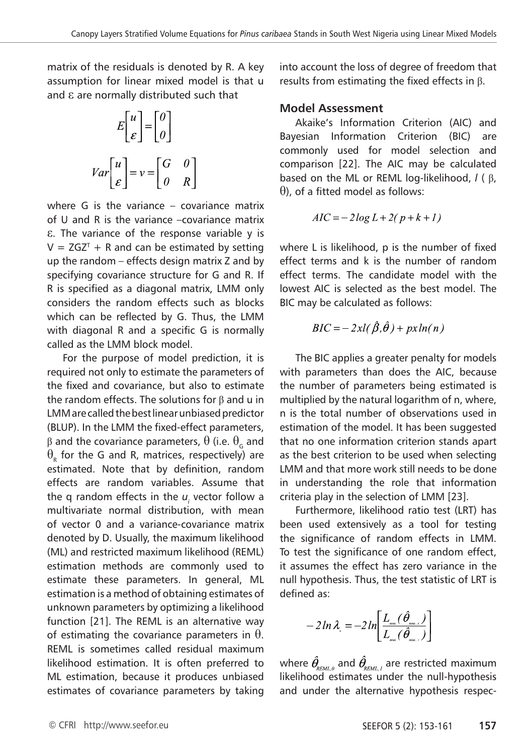matrix of the residuals is denoted by R. A key assumption for linear mixed model is that u and ε are normally distributed such that

$$
E\begin{bmatrix} u \\ \varepsilon \end{bmatrix} = \begin{bmatrix} 0 \\ 0 \end{bmatrix}
$$

$$
Var\begin{bmatrix} u \\ \varepsilon \end{bmatrix} = v = \begin{bmatrix} G & 0 \\ 0 & R \end{bmatrix}
$$

where G is the variance – covariance matrix of U and R is the variance –covariance matrix ε. The variance of the response variable y is  $V = ZGZ<sup>T</sup> + R$  and can be estimated by setting up the random – effects design matrix Z and by specifying covariance structure for G and R. If R is specified as a diagonal matrix, LMM only considers the random effects such as blocks which can be reflected by G. Thus, the LMM with diagonal R and a specific G is normally called as the LMM block model.

For the purpose of model prediction, it is required not only to estimate the parameters of the fixed and covariance, but also to estimate the random effects. The solutions for  $\beta$  and u in LMM are called the best linear unbiased predictor (BLUP). In the LMM the fixed-effect parameters, β and the covariance parameters,  $\theta$  (i.e.  $\theta_{\rm G}$  and  $\theta_{_\mathsf{R}}$  for the G and R, matrices, respectively) are estimated. Note that by definition, random effects are random variables. Assume that the q random effects in the  $u_{_i}$  vector follow a multivariate normal distribution, with mean of vector 0 and a variance-covariance matrix denoted by D. Usually, the maximum likelihood (ML) and restricted maximum likelihood (REML) estimation methods are commonly used to estimate these parameters. In general, ML estimation is a method of obtaining estimates of unknown parameters by optimizing a likelihood function [21]. The REML is an alternative way of estimating the covariance parameters in  $\theta$ . REML is sometimes called residual maximum likelihood estimation. It is often preferred to ML estimation, because it produces unbiased estimates of covariance parameters by taking

into account the loss of degree of freedom that results from estimating the fixed effects in β.

## **Model Assessment**

Akaike's Information Criterion (AIC) and Bayesian Information Criterion (BIC) are commonly used for model selection and comparison [22]. The AIC may be calculated based on the ML or REML log-likelihood, *l* ( β,  $\theta$ ), of a fitted model as follows:

$$
AIC = -2\log L + 2(p + k + l)
$$

where L is likelihood, p is the number of fixed effect terms and k is the number of random effect terms. The candidate model with the lowest AIC is selected as the best model. The BIC may be calculated as follows:

$$
BIC = -2xl(\hat{\beta}, \hat{\theta}) + px\ln(n)
$$

The BIC applies a greater penalty for models with parameters than does the AIC, because the number of parameters being estimated is multiplied by the natural logarithm of n, where, n is the total number of observations used in estimation of the model. It has been suggested that no one information criterion stands apart as the best criterion to be used when selecting LMM and that more work still needs to be done in understanding the role that information criteria play in the selection of LMM [23].

Furthermore, likelihood ratio test (LRT) has been used extensively as a tool for testing the significance of random effects in LMM. To test the significance of one random effect, it assumes the effect has zero variance in the null hypothesis. Thus, the test statistic of LRT is defined as:

$$
-2\,ln\lambda_{\rm s}=-2\,ln\!\!\left[\frac{L_{\rm ssc}(\hat{\bm{\theta}}_{\rm ssc.})}{L_{\rm ssc}(\hat{\bm{\theta}}_{\rm ssc.})}\right]
$$

where  $\theta_{\text{max}}$  and  $\theta_{\text{max}}$ , are restricted maximum likelihood estimates under the null-hypothesis and under the alternative hypothesis respec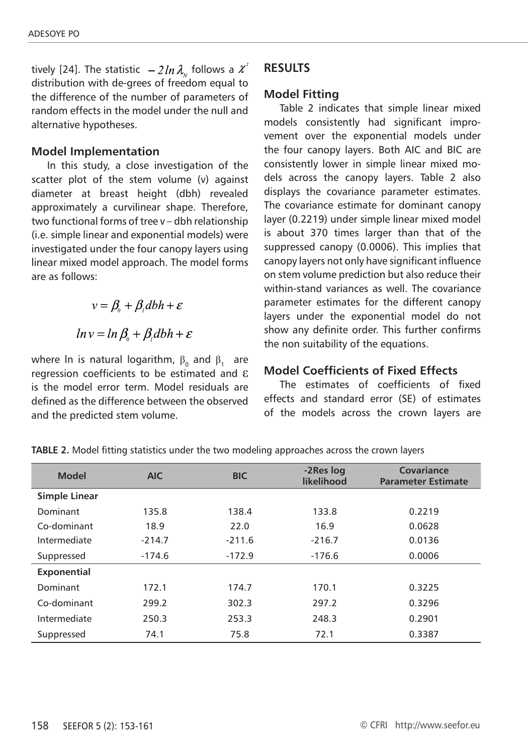tively [24]. The statistic  $-2\ln\lambda_{\rm w}$  follows a  $\chi^2$ distribution with de-grees of freedom equal to the difference of the number of parameters of random effects in the model under the null and alternative hypotheses.

#### **Model Implementation**

In this study, a close investigation of the scatter plot of the stem volume (v) against diameter at breast height (dbh) revealed approximately a curvilinear shape. Therefore, two functional forms of tree v – dbh relationship (i.e. simple linear and exponential models) were investigated under the four canopy layers using linear mixed model approach. The model forms are as follows:

> $v = \beta + \beta$ , dbh +  $\varepsilon$  $ln v = ln \beta_0 + \beta_0 dbh + \varepsilon$

where In is natural logarithm,  $\beta_0$  and  $\beta_1$  are regression coefficients to be estimated and ε is the model error term. Model residuals are defined as the difference between the observed and the predicted stem volume.

## **RESULTS**

## **Model Fitting**

Table 2 indicates that simple linear mixed models consistently had significant improvement over the exponential models under the four canopy layers. Both AIC and BIC are consistently lower in simple linear mixed models across the canopy layers. Table 2 also displays the covariance parameter estimates. The covariance estimate for dominant canopy layer (0.2219) under simple linear mixed model is about 370 times larger than that of the suppressed canopy (0.0006). This implies that canopy layers not only have significant influence on stem volume prediction but also reduce their within-stand variances as well. The covariance parameter estimates for the different canopy layers under the exponential model do not show any definite order. This further confirms the non suitability of the equations.

## **Model Coefficients of Fixed Effects**

The estimates of coefficients of fixed effects and standard error (SE) of estimates of the models across the crown layers are

| <b>Model</b>         | <b>AIC</b> | <b>BIC</b> | -2Res log<br>likelihood | Covariance<br><b>Parameter Estimate</b> |
|----------------------|------------|------------|-------------------------|-----------------------------------------|
| <b>Simple Linear</b> |            |            |                         |                                         |
| Dominant             | 135.8      | 138.4      | 133.8                   | 0.2219                                  |
| Co-dominant          | 18.9       | 22.0       | 16.9                    | 0.0628                                  |
| Intermediate         | $-214.7$   | $-211.6$   | $-216.7$                | 0.0136                                  |
| Suppressed           | $-174.6$   | $-172.9$   | $-176.6$                | 0.0006                                  |
| <b>Exponential</b>   |            |            |                         |                                         |
| Dominant             | 172.1      | 174.7      | 170.1                   | 0.3225                                  |
| Co-dominant          | 299.2      | 302.3      | 297.2                   | 0.3296                                  |
| Intermediate         | 250.3      | 253.3      | 248.3                   | 0.2901                                  |
| Suppressed           | 74.1       | 75.8       | 72.1                    | 0.3387                                  |

**TABLE 2.** Model fitting statistics under the two modeling approaches across the crown layers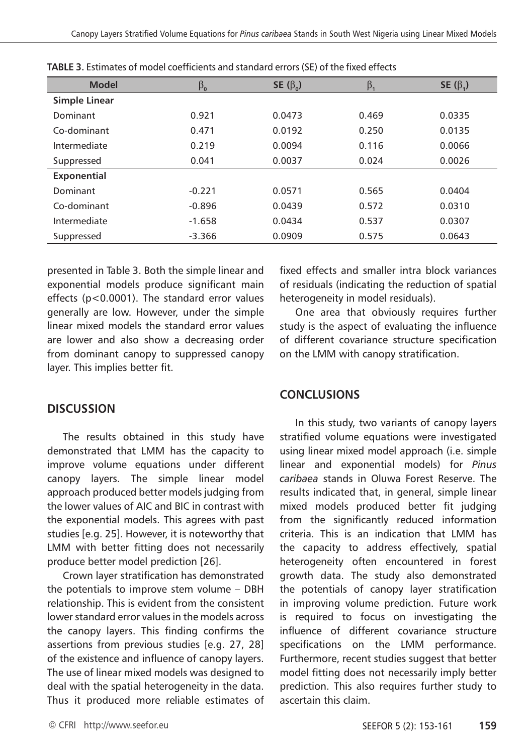| <b>Model</b>         | $\beta_{\mathsf{o}}$ | SE $(\beta_0)$ | $\beta_{1}$ | SE $(\beta_1)$ |
|----------------------|----------------------|----------------|-------------|----------------|
| <b>Simple Linear</b> |                      |                |             |                |
| Dominant             | 0.921                | 0.0473         | 0.469       | 0.0335         |
| Co-dominant          | 0.471                | 0.0192         | 0.250       | 0.0135         |
| Intermediate         | 0.219                | 0.0094         | 0.116       | 0.0066         |
| Suppressed           | 0.041                | 0.0037         | 0.024       | 0.0026         |
| Exponential          |                      |                |             |                |
| Dominant             | $-0.221$             | 0.0571         | 0.565       | 0.0404         |
| Co-dominant          | $-0.896$             | 0.0439         | 0.572       | 0.0310         |
| Intermediate         | $-1.658$             | 0.0434         | 0.537       | 0.0307         |
| Suppressed           | $-3.366$             | 0.0909         | 0.575       | 0.0643         |

**TABLE 3.** Estimates of model coefficients and standard errors (SE) of the fixed effects

presented in Table 3. Both the simple linear and exponential models produce significant main effects (p<0.0001). The standard error values generally are low. However, under the simple linear mixed models the standard error values are lower and also show a decreasing order from dominant canopy to suppressed canopy layer. This implies better fit.

fixed effects and smaller intra block variances of residuals (indicating the reduction of spatial heterogeneity in model residuals).

One area that obviously requires further study is the aspect of evaluating the influence of different covariance structure specification on the LMM with canopy stratification.

## **CONCLUSIONS**

In this study, two variants of canopy layers stratified volume equations were investigated using linear mixed model approach (i.e. simple linear and exponential models) for *Pinus caribaea* stands in Oluwa Forest Reserve. The results indicated that, in general, simple linear mixed models produced better fit judging from the significantly reduced information criteria. This is an indication that LMM has the capacity to address effectively, spatial heterogeneity often encountered in forest growth data. The study also demonstrated the potentials of canopy layer stratification in improving volume prediction. Future work is required to focus on investigating the influence of different covariance structure specifications on the LMM performance. Furthermore, recent studies suggest that better model fitting does not necessarily imply better prediction. This also requires further study to ascertain this claim.

## **DISCUSSION**

The results obtained in this study have demonstrated that LMM has the capacity to improve volume equations under different canopy layers. The simple linear model approach produced better models judging from the lower values of AIC and BIC in contrast with the exponential models. This agrees with past studies [e.g. 25]. However, it is noteworthy that LMM with better fitting does not necessarily produce better model prediction [26].

Crown layer stratification has demonstrated the potentials to improve stem volume – DBH relationship. This is evident from the consistent lower standard error values in the models across the canopy layers. This finding confirms the assertions from previous studies [e.g. 27, 28] of the existence and influence of canopy layers. The use of linear mixed models was designed to deal with the spatial heterogeneity in the data. Thus it produced more reliable estimates of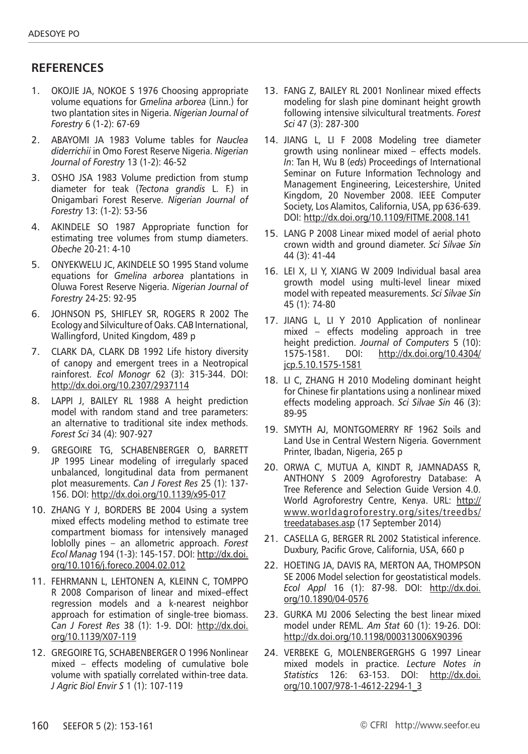## **RefereNces**

- 1. Okojie JA, Nokoe S 1976 Choosing appropriate volume equations for *Gmelina arborea* (Linn.) for two plantation sites in Nigeria. *Nigerian Journal of Forestry* 6 (1-2): 67-69
- 2. Abayomi JA 1983 Volume tables for *Nauclea diderrichii* in Omo Forest Reserve Nigeria. *Nigerian Journal of Forestry* 13 (1-2): 46-52
- 3. Osho JSA 1983 Volume prediction from stump diameter for teak (*Tectona grandis* L. F.) in Onigambari Forest Reserve. *Nigerian Journal of Forestry* 13: (1-2): 53-56
- 4. Akindele SO 1987 Appropriate function for estimating tree volumes from stump diameters. *Obeche* 20-21: 4-10
- 5. Onyekwelu JC, Akindele SO 1995 Stand volume equations for *Gmelina arborea* plantations in Oluwa Forest Reserve Nigeria. *Nigerian Journal of Forestry* 24-25: 92-95
- 6. JOHNSON PS, SHIFLEY SR, ROGERS R 2002 The Ecology and Silviculture of Oaks. CAB International, Wallingford, United Kingdom, 489 p
- 7. CLARK DA, CLARK DB 1992 Life history diversity of canopy and emergent trees in a Neotropical rainforest. *Ecol Monogr* 62 (3): 315-344. DOI: http://dx.doi.org/10.2307/2937114
- 8. Lappi J, Bailey RL 1988 A height prediction model with random stand and tree parameters: an alternative to traditional site index methods. *Forest Sci* 34 (4): 907-927
- 9. Gregoire TG, Schabenberger O, Barrett JP 1995 Linear modeling of irregularly spaced unbalanced, longitudinal data from permanent plot measurements. *Can J Forest Res* 25 (1): 137- 156. DOI: http://dx.doi.org/10.1139/x95-017
- 10. ZHANG Y J, BORDERS BE 2004 Using a system mixed effects modeling method to estimate tree compartment biomass for intensively managed loblolly pines – an allometric approach. *Forest Ecol Manag* 194 (1-3): 145-157. DOI: http://dx.doi. org/10.1016/j.foreco.2004.02.012
- 11. Fehrmann L, Lehtonen A, Kleinn C, Tomppo R 2008 Comparison of linear and mixed–effect regression models and a k-nearest neighbor approach for estimation of single-tree biomass. *Can J Forest Res* 38 (1): 1-9. DOI: http://dx.doi. org/10.1139/X07-119
- 12. Gregoire TG, Schabenberger O 1996 Nonlinear mixed – effects modeling of cumulative bole volume with spatially correlated within-tree data. *J Agric Biol Envir S* 1 (1): 107-119
- 13. FANG Z, BAILEY RL 2001 Nonlinear mixed effects modeling for slash pine dominant height growth following intensive silvicultural treatments. *Forest Sci* 47 (3): 287-300
- 14. Jiang L, LI F 2008 Modeling tree diameter growth using nonlinear mixed – effects models. *In*: Tan H, Wu B (*eds*) Proceedings of International Seminar on Future Information Technology and Management Engineering, Leicestershire, United Kingdom, 20 November 2008. IEEE Computer Society, Los Alamitos, California, USA, pp 636-639. DOI: http://dx.doi.org/10.1109/FITME.2008.141
- 15. Lang P 2008 Linear mixed model of aerial photo crown width and ground diameter. *Sci Silvae Sin* 44 (3): 41-44
- 16. LEI X, LI Y, XIANG W 2009 Individual basal area growth model using multi-level linear mixed model with repeated measurements. *Sci Silvae Sin* 45 (1): 74-80
- 17. Jiang L, LI Y 2010 Application of nonlinear mixed – effects modeling approach in tree height prediction. *Journal of Computers* 5 (10): 1575-1581. DOI: http://dx.doi.org/10.4304/ jcp.5.10.1575-1581
- 18. LI C, ZHANG H 2010 Modeling dominant height for Chinese fir plantations using a nonlinear mixed effects modeling approach. *Sci Silvae Sin* 46 (3): 89-95
- 19. SMYTH AJ, MONTGOMERRY RF 1962 Soils and Land Use in Central Western Nigeria*.* Government Printer, Ibadan, Nigeria, 265 p
- 20. ORWA C, MUTUA A, KINDT R, JAMNADASS R, ANTHONY S 2009 Agroforestry Database: A Tree Reference and Selection Guide Version 4.0. World Agroforestry Centre, Kenya. URL: http:// www.worldagroforestry.org/sites/treedbs/ treedatabases.asp (17 September 2014)
- 21. CASELLA G, BERGER RL 2002 Statistical inference. Duxbury, Pacific Grove, California, USA, 660 p
- 22. Hoeting JA, Davis RA, Merton AA, Thompson SE 2006 Model selection for geostatistical models. *Ecol Appl* 16 (1): 87-98. DOI: http://dx.doi. org/10.1890/04-0576
- 23. GURKA MJ 2006 Selecting the best linear mixed model under REML. *Am Stat* 60 (1): 19-26. DOI: http://dx.doi.org/10.1198/000313006X90396
- 24. VERBEKE G, MOLENBERGERGHS G 1997 Linear mixed models in practice. *Lecture Notes in Statistics* 126: 63-153. DOI: http://dx.doi. org/10.1007/978-1-4612-2294-1\_3